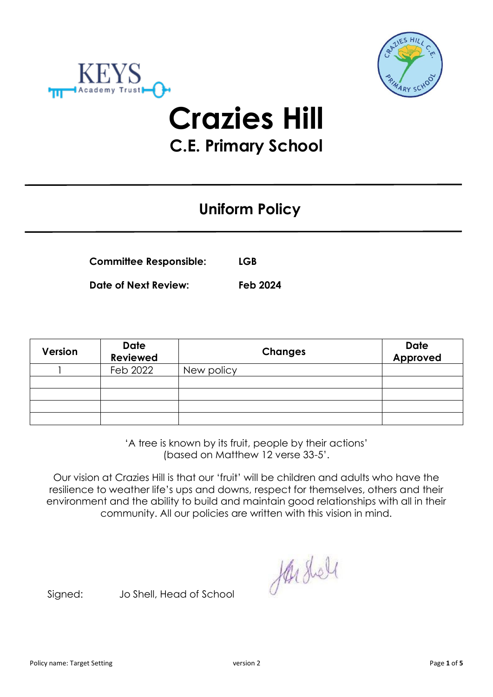



# **Crazies Hill C.E. Primary School**

# **Uniform Policy**

| <b>Committee Responsible:</b> | <b>LGB</b> |
|-------------------------------|------------|
|                               |            |

**Date of Next Review: Feb 2024**

| <b>Version</b> | <b>Date</b><br><b>Reviewed</b> | <b>Changes</b> | <b>Date</b><br>Approved |
|----------------|--------------------------------|----------------|-------------------------|
|                | Feb 2022                       | New policy     |                         |
|                |                                |                |                         |
|                |                                |                |                         |
|                |                                |                |                         |
|                |                                |                |                         |

'A tree is known by its fruit, people by their actions' (based on Matthew 12 verse 33-5'.

Our vision at Crazies Hill is that our 'fruit' will be children and adults who have the resilience to weather life's ups and downs, respect for themselves, others and their environment and the ability to build and maintain good relationships with all in their community. All our policies are written with this vision in mind.

Hushell

Signed: Jo Shell, Head of School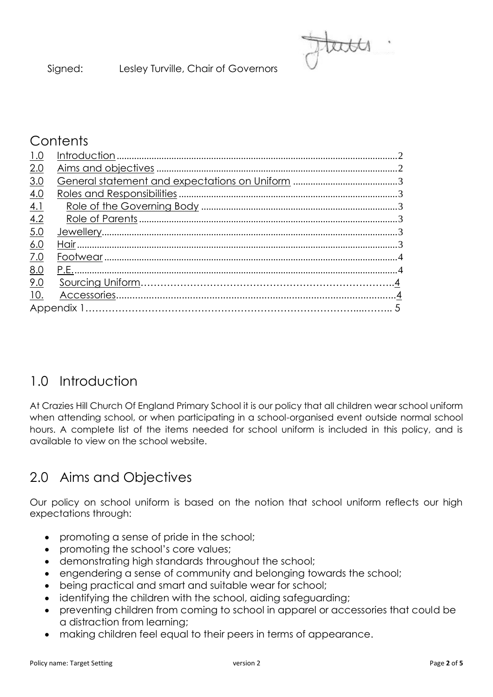# **Contents**

| 1.0        |  |
|------------|--|
| 2.0        |  |
| 3.0        |  |
| 4.0        |  |
| 4.1        |  |
| 4.2        |  |
| 5.0        |  |
| 6.0        |  |
| 7.0        |  |
| 8.0        |  |
| 9.0        |  |
| <u>10.</u> |  |
|            |  |

# 1.0 Introduction

At Crazies Hill Church Of England Primary School it is our policy that all children wear school uniform when attending school, or when participating in a school-organised event outside normal school hours. A complete list of the items needed for school uniform is included in this policy, and is available to view on the school website.

# 2.0 Aims and Objectives

Our policy on school uniform is based on the notion that school uniform reflects our high expectations through:

- promoting a sense of pride in the school;
- promoting the school's core values;
- demonstrating high standards throughout the school;
- engendering a sense of community and belonging towards the school;
- being practical and smart and suitable wear for school;
- identifying the children with the school, aiding safeguarding;
- preventing children from coming to school in apparel or accessories that could be a distraction from learning;
- making children feel equal to their peers in terms of appearance.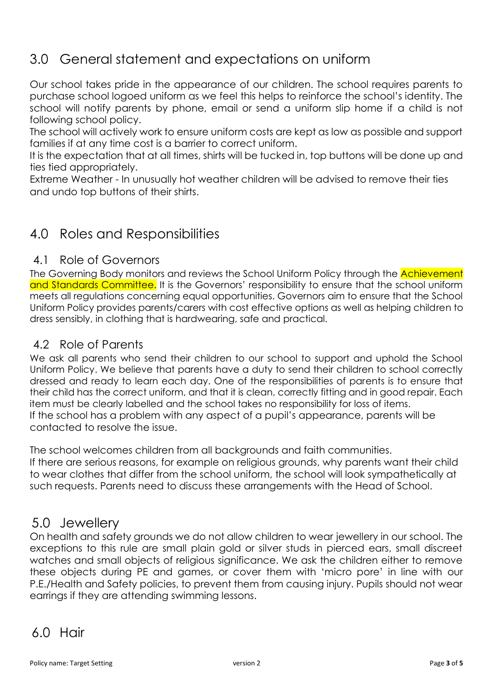## 3.0 General statement and expectations on uniform

Our school takes pride in the appearance of our children. The school requires parents to purchase school logoed uniform as we feel this helps to reinforce the school's identity. The school will notify parents by phone, email or send a uniform slip home if a child is not following school policy.

The school will actively work to ensure uniform costs are kept as low as possible and support families if at any time cost is a barrier to correct uniform.

It is the expectation that at all times, shirts will be tucked in, top buttons will be done up and ties tied appropriately.

Extreme Weather - In unusually hot weather children will be advised to remove their ties and undo top buttons of their shirts.

## 4.0 Roles and Responsibilities

#### 4.1 Role of Governors

The Governing Body monitors and reviews the School Uniform Policy through the **Achievement** and Standards Committee. It is the Governors' responsibility to ensure that the school uniform meets all regulations concerning equal opportunities. Governors aim to ensure that the School Uniform Policy provides parents/carers with cost effective options as well as helping children to dress sensibly, in clothing that is hardwearing, safe and practical.

#### 4.2 Role of Parents

We ask all parents who send their children to our school to support and uphold the School Uniform Policy. We believe that parents have a duty to send their children to school correctly dressed and ready to learn each day. One of the responsibilities of parents is to ensure that their child has the correct uniform, and that it is clean, correctly fitting and in good repair. Each item must be clearly labelled and the school takes no responsibility for loss of items. If the school has a problem with any aspect of a pupil's appearance, parents will be contacted to resolve the issue.

The school welcomes children from all backgrounds and faith communities. If there are serious reasons, for example on religious grounds, why parents want their child to wear clothes that differ from the school uniform, the school will look sympathetically at such requests. Parents need to discuss these arrangements with the Head of School.

### 5.0 Jewellery

On health and safety grounds we do not allow children to wear jewellery in our school. The exceptions to this rule are small plain gold or silver studs in pierced ears, small discreet watches and small objects of religious significance. We ask the children either to remove these objects during PE and games, or cover them with 'micro pore' in line with our P.E./Health and Safety policies, to prevent them from causing injury. Pupils should not wear earrings if they are attending swimming lessons.

### 6.0 Hair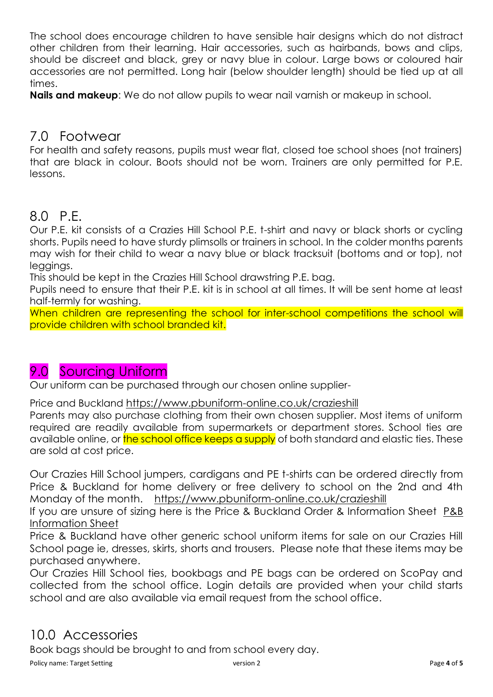The school does encourage children to have sensible hair designs which do not distract other children from their learning. Hair accessories, such as hairbands, bows and clips, should be discreet and black, grey or navy blue in colour. Large bows or coloured hair accessories are not permitted. Long hair (below shoulder length) should be tied up at all times.

**Nails and makeup**: We do not allow pupils to wear nail varnish or makeup in school.

### 7.0 Footwear

For health and safety reasons, pupils must wear flat, closed toe school shoes (not trainers) that are black in colour. Boots should not be worn. Trainers are only permitted for P.E. lessons.

## 8.0 P.E.

Our P.E. kit consists of a Crazies Hill School P.E. t-shirt and navy or black shorts or cycling shorts. Pupils need to have sturdy plimsolls or trainers in school. In the colder months parents may wish for their child to wear a navy blue or black tracksuit (bottoms and or top), not leggings.

This should be kept in the Crazies Hill School drawstring P.E. bag.

Pupils need to ensure that their P.E. kit is in school at all times. It will be sent home at least half-termly for washing.

When children are representing the school for inter-school competitions the school will provide children with school branded kit.

# 9.0 Sourcing Uniform

Our uniform can be purchased through our chosen online supplier-

Price and Buckland <https://www.pbuniform-online.co.uk/crazieshill>

Parents may also purchase clothing from their own chosen supplier. Most items of uniform required are readily available from supermarkets or department stores. School ties are available online, or the school office keeps a supply of both standard and elastic ties. These are sold at cost price.

Our Crazies Hill School jumpers, cardigans and PE t-shirts can be ordered directly from Price & Buckland for home delivery or free delivery to school on the 2nd and 4th Monday of the month. <https://www.pbuniform-online.co.uk/crazieshill>

If you are unsure of sizing here is the Price & Buckland Order & Information Sheet [P&B](https://crazieshill.co.uk/wokingham/primary/crazieshill/arenas/websitecontent/web/pricebucklandorderingsizinginformation.pdf)  [Information Sheet](https://crazieshill.co.uk/wokingham/primary/crazieshill/arenas/websitecontent/web/pricebucklandorderingsizinginformation.pdf)

Price & Buckland have other generic school uniform items for sale on our Crazies Hill School page ie, dresses, skirts, shorts and trousers. Please note that these items may be purchased anywhere.

Our Crazies Hill School ties, bookbags and PE bags can be ordered on ScoPay and collected from the school office. Login details are provided when your child starts school and are also available via email request from the school office.

## 10.0 Accessories

Book bags should be brought to and from school every day.